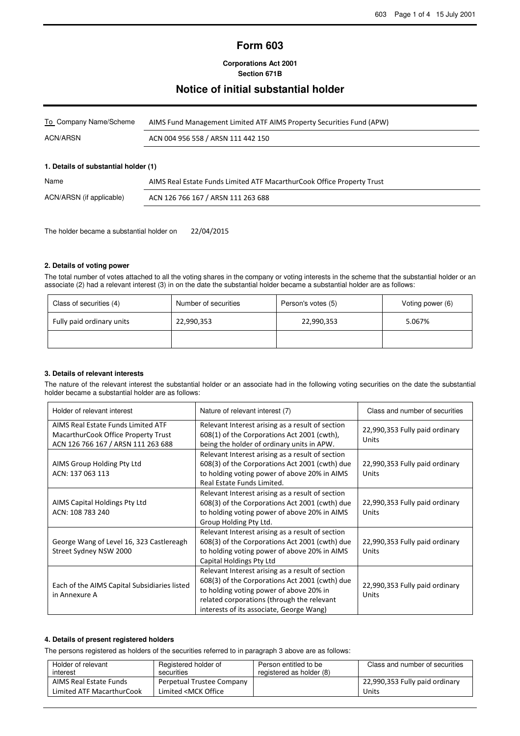# **Form 603**

**Corporations Act 2001 Section 671B**

## **Notice of initial substantial holder**

| To Company Name/Scheme | AIMS Fund Management Limited ATF AIMS Property Securities Fund (APW) |  |  |
|------------------------|----------------------------------------------------------------------|--|--|
| ACN/ARSN               | ACN 004 956 558 / ARSN 111 442 150                                   |  |  |

#### **1. Details of substantial holder (1)**

| Name                     | AIMS Real Estate Funds Limited ATF MacarthurCook Office Property Trust |
|--------------------------|------------------------------------------------------------------------|
| ACN/ARSN (if applicable) | ACN 126 766 167 / ARSN 111 263 688                                     |

The holder became a substantial holder on 22/04/2015

## **2. Details of voting power**

The total number of votes attached to all the voting shares in the company or voting interests in the scheme that the substantial holder or an associate (2) had a relevant interest (3) in on the date the substantial holder became a substantial holder are as follows:

| Class of securities (4)   | Number of securities | Person's votes (5) | Voting power (6) |
|---------------------------|----------------------|--------------------|------------------|
| Fully paid ordinary units | 22,990,353           | 22,990,353         | 5.067%           |
|                           |                      |                    |                  |

## **3. Details of relevant interests**

The nature of the relevant interest the substantial holder or an associate had in the following voting securities on the date the substantial holder became a substantial holder are as follows:

| Holder of relevant interest                                                                                     | Nature of relevant interest (7)                                                                                                                                                                                                         | Class and number of securities          |
|-----------------------------------------------------------------------------------------------------------------|-----------------------------------------------------------------------------------------------------------------------------------------------------------------------------------------------------------------------------------------|-----------------------------------------|
| AIMS Real Estate Funds Limited ATF<br>MacarthurCook Office Property Trust<br>ACN 126 766 167 / ARSN 111 263 688 | Relevant Interest arising as a result of section<br>608(1) of the Corporations Act 2001 (cwth),<br>being the holder of ordinary units in APW.                                                                                           | 22,990,353 Fully paid ordinary<br>Units |
| AIMS Group Holding Pty Ltd<br>ACN: 137 063 113                                                                  | Relevant Interest arising as a result of section<br>608(3) of the Corporations Act 2001 (cwth) due<br>to holding voting power of above 20% in AIMS<br>Real Estate Funds Limited.                                                        | 22,990,353 Fully paid ordinary<br>Units |
| AIMS Capital Holdings Pty Ltd<br>ACN: 108 783 240                                                               | Relevant Interest arising as a result of section<br>608(3) of the Corporations Act 2001 (cwth) due<br>to holding voting power of above 20% in AIMS<br>Group Holding Pty Ltd.                                                            | 22,990,353 Fully paid ordinary<br>Units |
| George Wang of Level 16, 323 Castlereagh<br>Street Sydney NSW 2000                                              | Relevant Interest arising as a result of section<br>608(3) of the Corporations Act 2001 (cwth) due<br>to holding voting power of above 20% in AIMS<br>Capital Holdings Pty Ltd                                                          | 22,990,353 Fully paid ordinary<br>Units |
| Each of the AIMS Capital Subsidiaries listed<br>in Annexure A                                                   | Relevant Interest arising as a result of section<br>608(3) of the Corporations Act 2001 (cwth) due<br>to holding voting power of above 20% in<br>related corporations (through the relevant<br>interests of its associate, George Wang) | 22,990,353 Fully paid ordinary<br>Units |

#### **4. Details of present registered holders**

The persons registered as holders of the securities referred to in paragraph 3 above are as follows:

| Holder of relevant        | Registered holder of                                        | Person entitled to be    | Class and number of securities |
|---------------------------|-------------------------------------------------------------|--------------------------|--------------------------------|
| interest                  | securities                                                  | registered as holder (8) |                                |
| AIMS Real Estate Funds    | Perpetual Trustee Company                                   |                          | 22,990,353 Fully paid ordinary |
| Limited ATF MacarthurCook | Limited <mck office<="" td=""><td></td><td>Units</td></mck> |                          | Units                          |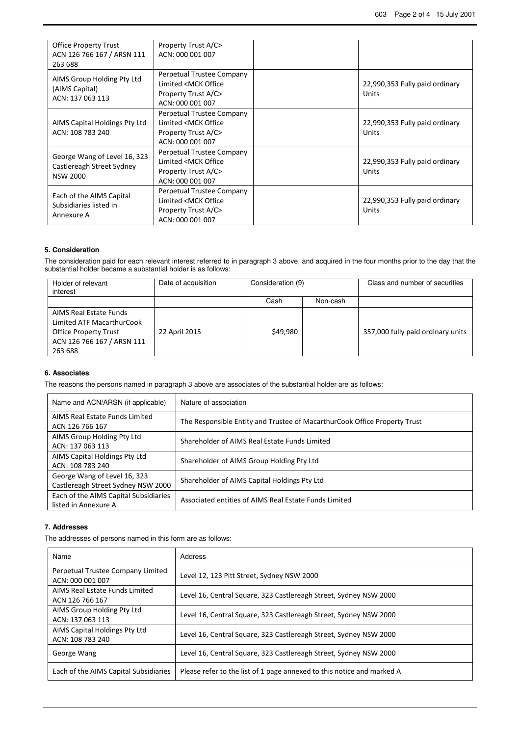| <b>Office Property Trust</b><br>ACN 126 766 167 / ARSN 111<br>263 688        | Property Trust A/C><br>ACN: 000 001 007                                                                  |                                                |
|------------------------------------------------------------------------------|----------------------------------------------------------------------------------------------------------|------------------------------------------------|
| AIMS Group Holding Pty Ltd<br>(AIMS Capital)<br>ACN: 137 063 113             | Perpetual Trustee Company<br>Limited <mck office<br="">Property Trust A/C&gt;<br/>ACN: 000 001 007</mck> | 22,990,353 Fully paid ordinary<br><b>Units</b> |
| AIMS Capital Holdings Pty Ltd<br>ACN: 108 783 240                            | Perpetual Trustee Company<br>Limited <mck office<br="">Property Trust A/C&gt;<br/>ACN: 000 001 007</mck> | 22,990,353 Fully paid ordinary<br>Units        |
| George Wang of Level 16, 323<br>Castlereagh Street Sydney<br><b>NSW 2000</b> | Perpetual Trustee Company<br>Limited <mck office<br="">Property Trust A/C&gt;<br/>ACN: 000 001 007</mck> | 22,990,353 Fully paid ordinary<br>Units        |
| Each of the AIMS Capital<br>Subsidiaries listed in<br>Annexure A             | Perpetual Trustee Company<br>Limited <mck office<br="">Property Trust A/C&gt;<br/>ACN: 000 001 007</mck> | 22,990,353 Fully paid ordinary<br>Units        |

#### **5. Consideration**

The consideration paid for each relevant interest referred to in paragraph 3 above, and acquired in the four months prior to the day that the substantial holder became a substantial holder is as follows:

| Holder of relevant<br>interest                                                                                               | Date of acquisition | Consideration (9) |          | Class and number of securities    |
|------------------------------------------------------------------------------------------------------------------------------|---------------------|-------------------|----------|-----------------------------------|
|                                                                                                                              |                     | Cash              | Non-cash |                                   |
| AIMS Real Estate Funds<br>Limited ATF MacarthurCook<br><b>Office Property Trust</b><br>ACN 126 766 167 / ARSN 111<br>263 688 | 22 April 2015       | \$49,980          |          | 357,000 fully paid ordinary units |

### **6. Associates**

The reasons the persons named in paragraph 3 above are associates of the substantial holder are as follows:

| Name and ACN/ARSN (if applicable)                                  | Nature of association                                                     |
|--------------------------------------------------------------------|---------------------------------------------------------------------------|
| AIMS Real Estate Funds Limited<br>ACN 126 766 167                  | The Responsible Entity and Trustee of MacarthurCook Office Property Trust |
| AIMS Group Holding Pty Ltd<br>ACN: 137 063 113                     | Shareholder of AIMS Real Estate Funds Limited                             |
| AIMS Capital Holdings Pty Ltd<br>ACN: 108 783 240                  | Shareholder of AIMS Group Holding Pty Ltd                                 |
| George Wang of Level 16, 323<br>Castlereagh Street Sydney NSW 2000 | Shareholder of AIMS Capital Holdings Pty Ltd                              |
| Each of the AIMS Capital Subsidiaries<br>listed in Annexure A      | Associated entities of AIMS Real Estate Funds Limited                     |

#### **7. Addresses**

The addresses of persons named in this form are as follows:

| Name                                                  | Address                                                                |
|-------------------------------------------------------|------------------------------------------------------------------------|
| Perpetual Trustee Company Limited<br>ACN: 000 001 007 | Level 12, 123 Pitt Street, Sydney NSW 2000                             |
| AIMS Real Estate Funds Limited<br>ACN 126 766 167     | Level 16, Central Square, 323 Castlereagh Street, Sydney NSW 2000      |
| AIMS Group Holding Pty Ltd<br>ACN: 137 063 113        | Level 16, Central Square, 323 Castlereagh Street, Sydney NSW 2000      |
| AIMS Capital Holdings Pty Ltd<br>ACN: 108 783 240     | Level 16, Central Square, 323 Castlereagh Street, Sydney NSW 2000      |
| George Wang                                           | Level 16, Central Square, 323 Castlereagh Street, Sydney NSW 2000      |
| Each of the AIMS Capital Subsidiaries                 | Please refer to the list of 1 page annexed to this notice and marked A |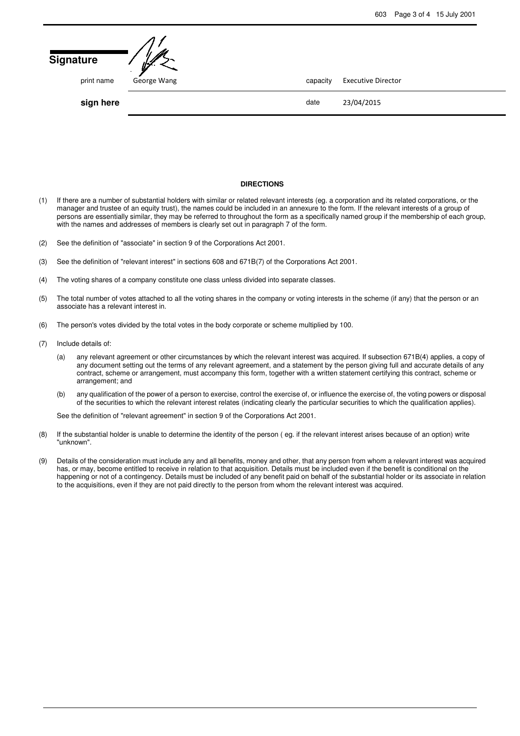| <b>Signature</b> | ザ<br>$\ddot{\phantom{a}}$ |          |                           |
|------------------|---------------------------|----------|---------------------------|
| print name       | George Wang               | capacity | <b>Executive Director</b> |
| sign here        |                           | date     | 23/04/2015                |
|                  |                           |          |                           |

#### **DIRECTIONS**

- (1) If there are a number of substantial holders with similar or related relevant interests (eg. a corporation and its related corporations, or the manager and trustee of an equity trust), the names could be included in an annexure to the form. If the relevant interests of a group of persons are essentially similar, they may be referred to throughout the form as a specifically named group if the membership of each group, with the names and addresses of members is clearly set out in paragraph 7 of the form.
- (2) See the definition of "associate" in section 9 of the Corporations Act 2001.
- (3) See the definition of "relevant interest" in sections 608 and 671B(7) of the Corporations Act 2001.
- (4) The voting shares of a company constitute one class unless divided into separate classes.
- (5) The total number of votes attached to all the voting shares in the company or voting interests in the scheme (if any) that the person or an associate has a relevant interest in.
- (6) The person's votes divided by the total votes in the body corporate or scheme multiplied by 100.
- (7) Include details of:
	- (a) any relevant agreement or other circumstances by which the relevant interest was acquired. If subsection 671B(4) applies, a copy of any document setting out the terms of any relevant agreement, and a statement by the person giving full and accurate details of any contract, scheme or arrangement, must accompany this form, together with a written statement certifying this contract, scheme or arrangement; and
	- (b) any qualification of the power of a person to exercise, control the exercise of, or influence the exercise of, the voting powers or disposal of the securities to which the relevant interest relates (indicating clearly the particular securities to which the qualification applies).

See the definition of "relevant agreement" in section 9 of the Corporations Act 2001.

- (8) If the substantial holder is unable to determine the identity of the person ( eg. if the relevant interest arises because of an option) write "unknown".
- (9) Details of the consideration must include any and all benefits, money and other, that any person from whom a relevant interest was acquired has, or may, become entitled to receive in relation to that acquisition. Details must be included even if the benefit is conditional on the happening or not of a contingency. Details must be included of any benefit paid on behalf of the substantial holder or its associate in relation to the acquisitions, even if they are not paid directly to the person from whom the relevant interest was acquired.